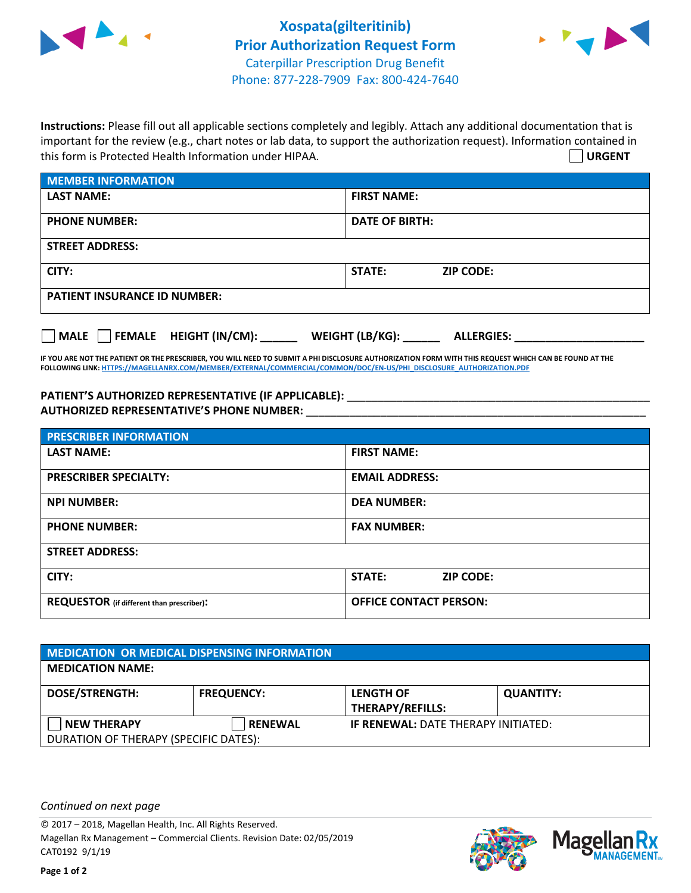



**Instructions:** Please fill out all applicable sections completely and legibly. Attach any additional documentation that is important for the review (e.g., chart notes or lab data, to support the authorization request). Information contained in this form is Protected Health Information under HIPAA. **URGENT**

| <b>MEMBER INFORMATION</b>             |                                      |  |
|---------------------------------------|--------------------------------------|--|
| <b>LAST NAME:</b>                     | <b>FIRST NAME:</b>                   |  |
| <b>PHONE NUMBER:</b>                  | <b>DATE OF BIRTH:</b>                |  |
| <b>STREET ADDRESS:</b>                |                                      |  |
| CITY:                                 | STATE:<br><b>ZIP CODE:</b>           |  |
| <b>PATIENT INSURANCE ID NUMBER:</b>   |                                      |  |
| FEMALE HEIGHT (IN/CM):<br><b>MALE</b> | WEIGHT (LB/KG):<br><b>ALLERGIES:</b> |  |

**IF YOU ARE NOT THE PATIENT OR THE PRESCRIBER, YOU WILL NEED TO SUBMIT A PHI DISCLOSURE AUTHORIZATION FORM WITH THIS REQUEST WHICH CAN BE FOUND AT THE FOLLOWING LINK[: HTTPS://MAGELLANRX.COM/MEMBER/EXTERNAL/COMMERCIAL/COMMON/DOC/EN-US/PHI\\_DISCLOSURE\\_AUTHORIZATION.PDF](https://magellanrx.com/member/external/commercial/common/doc/en-us/PHI_Disclosure_Authorization.pdf)**

PATIENT'S AUTHORIZED REPRESENTATIVE (IF APPLICABLE): \_\_\_\_\_\_\_\_\_\_\_\_\_\_\_\_\_\_\_\_\_\_\_\_\_\_\_ **AUTHORIZED REPRESENTATIVE'S PHONE NUMBER:** \_\_\_\_\_\_\_\_\_\_\_\_\_\_\_\_\_\_\_\_\_\_\_\_\_\_\_\_\_\_\_\_\_\_\_\_\_\_\_\_\_\_\_\_\_\_\_\_\_\_\_\_\_\_\_

| <b>PRESCRIBER INFORMATION</b>             |                               |
|-------------------------------------------|-------------------------------|
| <b>LAST NAME:</b>                         | <b>FIRST NAME:</b>            |
| <b>PRESCRIBER SPECIALTY:</b>              | <b>EMAIL ADDRESS:</b>         |
| <b>NPI NUMBER:</b>                        | <b>DEA NUMBER:</b>            |
| <b>PHONE NUMBER:</b>                      | <b>FAX NUMBER:</b>            |
| <b>STREET ADDRESS:</b>                    |                               |
| CITY:                                     | STATE:<br><b>ZIP CODE:</b>    |
| REQUESTOR (if different than prescriber): | <b>OFFICE CONTACT PERSON:</b> |

| <b>MEDICATION OR MEDICAL DISPENSING INFORMATION</b> |                   |                                            |                  |  |  |
|-----------------------------------------------------|-------------------|--------------------------------------------|------------------|--|--|
| <b>MEDICATION NAME:</b>                             |                   |                                            |                  |  |  |
| <b>DOSE/STRENGTH:</b>                               | <b>FREQUENCY:</b> | <b>LENGTH OF</b>                           | <b>QUANTITY:</b> |  |  |
|                                                     |                   | <b>THERAPY/REFILLS:</b>                    |                  |  |  |
| NEW THERAPY                                         | <b>RENEWAL</b>    | <b>IF RENEWAL: DATE THERAPY INITIATED:</b> |                  |  |  |
| DURATION OF THERAPY (SPECIFIC DATES):               |                   |                                            |                  |  |  |

*Continued on next page*

© 2017 – 2018, Magellan Health, Inc. All Rights Reserved. Magellan Rx Management – Commercial Clients. Revision Date: 02/05/2019 CAT0192 9/1/19